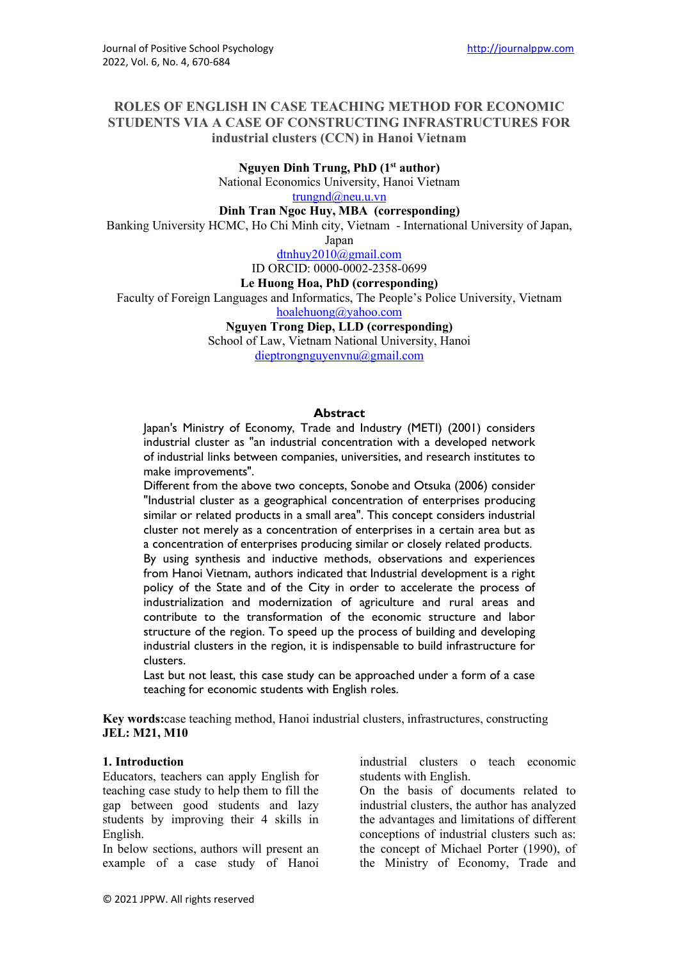### **ROLES OF ENGLISH IN CASE TEACHING METHOD FOR ECONOMIC STUDENTS VIA A CASE OF CONSTRUCTING INFRASTRUCTURES FOR industrial clusters (CCN) in Hanoi Vietnam**

**Nguyen Dinh Trung, PhD (1st author)**

National Economics University, Hanoi Vietnam

[trungnd@neu.u.vn](mailto:trungnd@neu.u.vn)

**Dinh Tran Ngoc Huy, MBA (corresponding)**

Banking University HCMC, Ho Chi Minh city, Vietnam - International University of Japan,

Japan

[dtnhuy2010@gmail.com](mailto:ptan@ttn.edu.vn)

ID ORCID: 0000-0002-2358-0699

**Le Huong Hoa, PhD (corresponding)**

Faculty of Foreign Languages and Informatics, The People's Police University, Vietnam

[hoalehuong@yahoo.com](mailto:hoalehuong@yahoo.com)

**Nguyen Trong Diep, LLD (corresponding)**

School of Law, Vietnam National University, Hanoi

[dieptrongnguyenvnu@gmail.com](mailto:dieptrongnguyenvnu@gmail.com)

#### **Abstract**

Japan's Ministry of Economy, Trade and Industry (METI) (2001) considers industrial cluster as "an industrial concentration with a developed network of industrial links between companies, universities, and research institutes to make improvements".

Different from the above two concepts, Sonobe and Otsuka (2006) consider "Industrial cluster as a geographical concentration of enterprises producing similar or related products in a small area". This concept considers industrial cluster not merely as a concentration of enterprises in a certain area but as a concentration of enterprises producing similar or closely related products. By using synthesis and inductive methods, observations and experiences from Hanoi Vietnam, authors indicated that Industrial development is a right policy of the State and of the City in order to accelerate the process of industrialization and modernization of agriculture and rural areas and contribute to the transformation of the economic structure and labor structure of the region. To speed up the process of building and developing industrial clusters in the region, it is indispensable to build infrastructure for clusters.

Last but not least, this case study can be approached under a form of a case teaching for economic students with English roles.

**Key words:**case teaching method, Hanoi industrial clusters, infrastructures, constructing **JEL: M21, M10**

#### **1. Introduction**

Educators, teachers can apply English for teaching case study to help them to fill the gap between good students and lazy students by improving their 4 skills in English.

In below sections, authors will present an example of a case study of Hanoi industrial clusters o teach economic students with English.

On the basis of documents related to industrial clusters, the author has analyzed the advantages and limitations of different conceptions of industrial clusters such as: the concept of Michael Porter (1990), of the Ministry of Economy, Trade and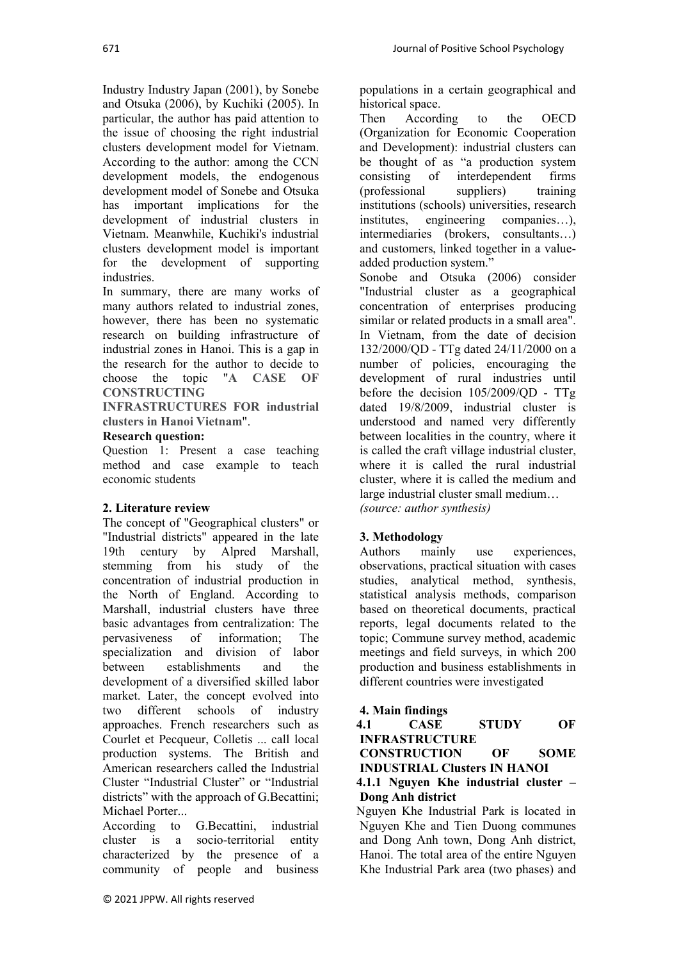Industry Industry Japan (2001), by Sonebe and Otsuka (2006), by Kuchiki (2005). In particular, the author has paid attention to the issue of choosing the right industrial clusters development model for Vietnam. According to the author: among the CCN development models, the endogenous development model of Sonebe and Otsuka has important implications for the development of industrial clusters in Vietnam. Meanwhile, Kuchiki's industrial clusters development model is important for the development of supporting industries.

In summary, there are many works of many authors related to industrial zones, however, there has been no systematic research on building infrastructure of industrial zones in Hanoi. This is a gap in the research for the author to decide to choose the topic "**A CASE OF CONSTRUCTING** 

**INFRASTRUCTURES FOR industrial clusters in Hanoi Vietnam**".

### **Research question:**

Question 1: Present a case teaching method and case example to teach economic students

# **2. Literature review**

The concept of "Geographical clusters" or "Industrial districts" appeared in the late 19th century by Alpred Marshall, stemming from his study of the concentration of industrial production in the North of England. According to Marshall, industrial clusters have three basic advantages from centralization: The pervasiveness of information; The specialization and division of labor between establishments and the development of a diversified skilled labor market. Later, the concept evolved into two different schools of industry approaches. French researchers such as Courlet et Pecqueur, Colletis ... call local production systems. The British and American researchers called the Industrial Cluster "Industrial Cluster" or "Industrial districts" with the approach of G.Becattini; Michael Porter...

According to G.Becattini, industrial cluster is a socio-territorial entity characterized by the presence of a community of people and business

populations in a certain geographical and historical space.<br>Then Accord According to the OECD

(Organization for Economic Cooperation and Development): industrial clusters can be thought of as "a production system consisting of interdependent firms (professional suppliers) training institutions (schools) universities, research<br>institutes, engineering companies...), companies…), intermediaries (brokers, consultants…) and customers, linked together in a valueadded production system."

Sonobe and Otsuka (2006) consider "Industrial cluster as a geographical concentration of enterprises producing similar or related products in a small area". In Vietnam, from the date of decision 132/2000/QD - TTg dated 24/11/2000 on a number of policies, encouraging the development of rural industries until before the decision 105/2009/QD - TTg dated 19/8/2009, industrial cluster is understood and named very differently between localities in the country, where it is called the craft village industrial cluster, where it is called the rural industrial cluster, where it is called the medium and large industrial cluster small medium… *(source: author synthesis)*

# **3. Methodology**

Authors mainly use experiences, observations, practical situation with cases studies, analytical method, synthesis, statistical analysis methods, comparison based on theoretical documents, practical reports, legal documents related to the topic; Commune survey method, academic meetings and field surveys, in which 200 production and business establishments in different countries were investigated

# **4. Main findings**

| 4.1 | <b>CASE</b>                           | <b>STUDY</b>           | OF          |
|-----|---------------------------------------|------------------------|-------------|
|     | <b>INFRASTRUCTURE</b>                 |                        |             |
|     | <b>CONSTRUCTION</b>                   | $\overline{\text{OF}}$ | <b>SOME</b> |
|     | <b>INDUSTRIAL Clusters IN HANOI</b>   |                        |             |
|     | 4.1.1 Nguyen Khe industrial cluster – |                        |             |
|     | Dong Anh district                     |                        |             |

Nguyen Khe Industrial Park is located in Nguyen Khe and Tien Duong communes and Dong Anh town, Dong Anh district, Hanoi. The total area of the entire Nguyen Khe Industrial Park area (two phases) and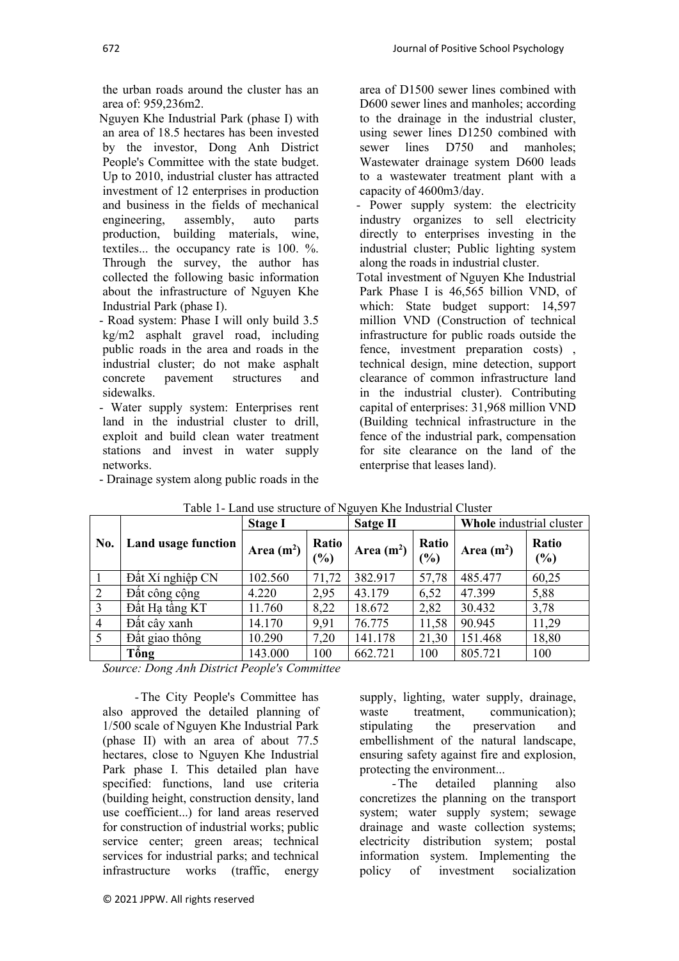the urban roads around the cluster has an area of: 959,236m2.

Nguyen Khe Industrial Park (phase I) with an area of 18.5 hectares has been invested by the investor, Dong Anh District People's Committee with the state budget. Up to 2010, industrial cluster has attracted investment of 12 enterprises in production and business in the fields of mechanical<br>engineering, assembly, auto parts engineering, assembly, auto parts production, building materials, wine, textiles... the occupancy rate is 100. %. Through the survey, the author has collected the following basic information about the infrastructure of Nguyen Khe Industrial Park (phase I).

- Road system: Phase I will only build 3.5 kg/m2 asphalt gravel road, including public roads in the area and roads in the industrial cluster; do not make asphalt concrete pavement structures and sidewalks.

- Water supply system: Enterprises rent land in the industrial cluster to drill, exploit and build clean water treatment stations and invest in water supply networks.

- Drainage system along public roads in the

area of D1500 sewer lines combined with D600 sewer lines and manholes; according to the drainage in the industrial cluster, using sewer lines D1250 combined with sewer lines D750 and manholes; Wastewater drainage system D600 leads to a wastewater treatment plant with a capacity of 4600m3/day.

- Power supply system: the electricity industry organizes to sell electricity directly to enterprises investing in the industrial cluster; Public lighting system along the roads in industrial cluster.

Total investment of Nguyen Khe Industrial Park Phase I is 46,565 billion VND, of which: State budget support: 14,597 million VND (Construction of technical infrastructure for public roads outside the fence, investment preparation costs) , technical design, mine detection, support clearance of common infrastructure land in the industrial cluster). Contributing capital of enterprises: 31,968 million VND (Building technical infrastructure in the fence of the industrial park, compensation for site clearance on the land of the enterprise that leases land).

|                |                     | <b>Stage I</b> |                        | <b>Satge II</b> |              | Whole industrial cluster |              |
|----------------|---------------------|----------------|------------------------|-----------------|--------------|--------------------------|--------------|
| No.            | Land usage function | Area $(m^2)$   | Ratio<br>$\frac{1}{2}$ | Area $(m2)$     | Ratio<br>(%) | Area $(m^2)$             | Ratio<br>(%) |
|                | Đất Xí nghiệp CN    | 102.560        | 71,72                  | 382.917         | 57,78        | 485.477                  | 60,25        |
| 2              | Đất công cộng       | 4.220          | 2,95                   | 43.179          | 6,52         | 47.399                   | 5,88         |
| 3              | Đất Ha tầng KT      | 11.760         | 8,22                   | 18.672          | 2,82         | 30.432                   | 3,78         |
| $\overline{4}$ | Đất cây xanh        | 14.170         | 9,91                   | 76.775          | 11,58        | 90.945                   | 11,29        |
| 5              | Đất giao thông      | 10.290         | 7,20                   | 141.178         | 21,30        | 151.468                  | 18,80        |
|                | Tống                | 143.000        | 100                    | 662.721         | 100          | 805.721                  | 100          |

Table 1- Land use structure of Nguyen Khe Industrial Cluster

*Source: Dong Anh District People's Committee*

- The City People's Committee has also approved the detailed planning of 1/500 scale of Nguyen Khe Industrial Park (phase II) with an area of about 77.5 hectares, close to Nguyen Khe Industrial Park phase I. This detailed plan have specified: functions, land use criteria (building height, construction density, land use coefficient...) for land areas reserved for construction of industrial works; public service center; green areas; technical services for industrial parks; and technical infrastructure works (traffic, energy

supply, lighting, water supply, drainage, waste treatment, communication): stipulating the preservation and embellishment of the natural landscape, ensuring safety against fire and explosion, protecting the environment...

- The detailed planning also concretizes the planning on the transport system; water supply system; sewage drainage and waste collection systems; electricity distribution system; postal information system. Implementing the policy of investment socialization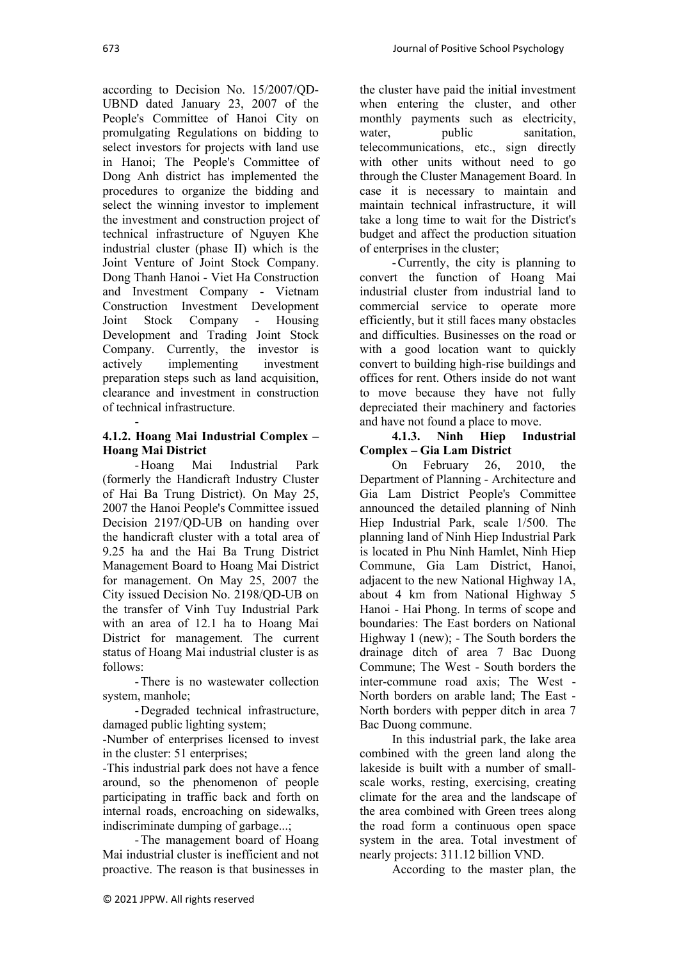according to Decision No. 15/2007/QD-UBND dated January 23, 2007 of the People's Committee of Hanoi City on promulgating Regulations on bidding to select investors for projects with land use in Hanoi; The People's Committee of Dong Anh district has implemented the procedures to organize the bidding and select the winning investor to implement the investment and construction project of technical infrastructure of Nguyen Khe industrial cluster (phase II) which is the Joint Venture of Joint Stock Company. Dong Thanh Hanoi - Viet Ha Construction and Investment Company - Vietnam Construction Investment Development Joint Stock Company - Housing Development and Trading Joint Stock Company. Currently, the investor is actively implementing investment preparation steps such as land acquisition, clearance and investment in construction of technical infrastructure.

#### - **4.1.2. Hoang Mai Industrial Complex – Hoang Mai District**

- Hoang Mai Industrial Park (formerly the Handicraft Industry Cluster of Hai Ba Trung District). On May 25, 2007 the Hanoi People's Committee issued Decision 2197/QD-UB on handing over the handicraft cluster with a total area of 9.25 ha and the Hai Ba Trung District Management Board to Hoang Mai District for management. On May 25, 2007 the City issued Decision No. 2198/QD-UB on the transfer of Vinh Tuy Industrial Park with an area of 12.1 ha to Hoang Mai District for management. The current status of Hoang Mai industrial cluster is as follows:

- There is no wastewater collection system, manhole;

- Degraded technical infrastructure, damaged public lighting system;

-Number of enterprises licensed to invest in the cluster: 51 enterprises;

-This industrial park does not have a fence around, so the phenomenon of people participating in traffic back and forth on internal roads, encroaching on sidewalks, indiscriminate dumping of garbage...;

- The management board of Hoang Mai industrial cluster is inefficient and not proactive. The reason is that businesses in the cluster have paid the initial investment when entering the cluster, and other monthly payments such as electricity,<br>water, public sanitation. water, public sanitation, telecommunications, etc., sign directly with other units without need to go through the Cluster Management Board. In case it is necessary to maintain and maintain technical infrastructure, it will take a long time to wait for the District's budget and affect the production situation of enterprises in the cluster;

- Currently, the city is planning to convert the function of Hoang Mai industrial cluster from industrial land to commercial service to operate more efficiently, but it still faces many obstacles and difficulties. Businesses on the road or with a good location want to quickly convert to building high-rise buildings and offices for rent. Others inside do not want to move because they have not fully depreciated their machinery and factories and have not found a place to move.

#### **4.1.3. Ninh Hiep Industrial Complex – Gia Lam District**

On February 26, 2010, the Department of Planning - Architecture and Gia Lam District People's Committee announced the detailed planning of Ninh Hiep Industrial Park, scale 1/500. The planning land of Ninh Hiep Industrial Park is located in Phu Ninh Hamlet, Ninh Hiep Commune, Gia Lam District, Hanoi, adjacent to the new National Highway 1A, about 4 km from National Highway 5 Hanoi - Hai Phong. In terms of scope and boundaries: The East borders on National Highway 1 (new); - The South borders the drainage ditch of area 7 Bac Duong Commune; The West - South borders the inter-commune road axis; The West - North borders on arable land; The East - North borders with pepper ditch in area 7 Bac Duong commune.

In this industrial park, the lake area combined with the green land along the lakeside is built with a number of smallscale works, resting, exercising, creating climate for the area and the landscape of the area combined with Green trees along the road form a continuous open space system in the area. Total investment of nearly projects: 311.12 billion VND.

According to the master plan, the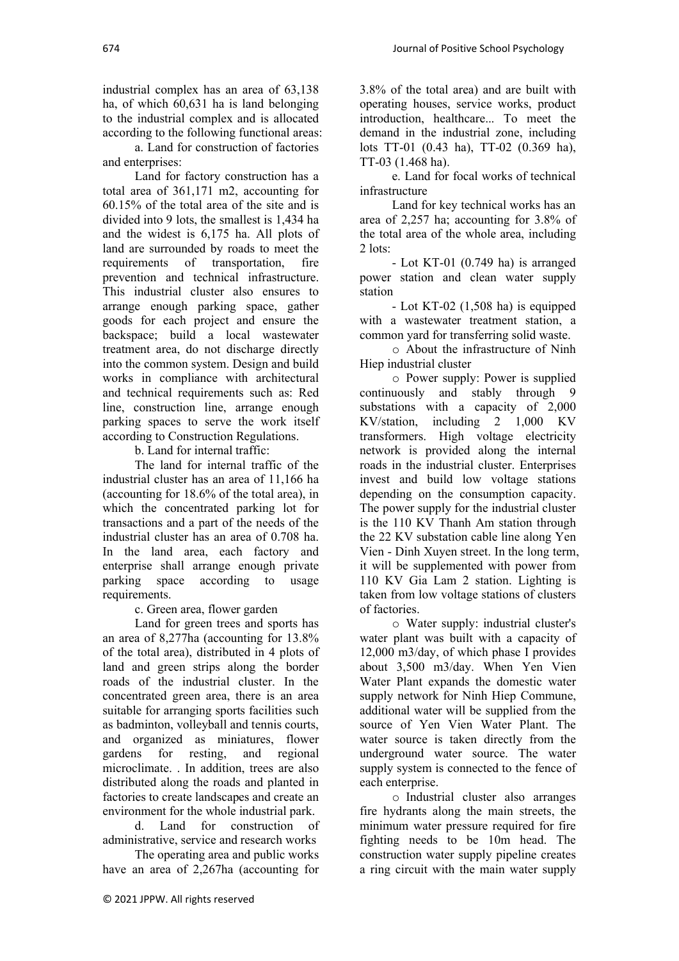industrial complex has an area of 63,138 ha, of which 60,631 ha is land belonging to the industrial complex and is allocated according to the following functional areas:

a. Land for construction of factories and enterprises:

Land for factory construction has a total area of 361,171 m2, accounting for 60.15% of the total area of the site and is divided into 9 lots, the smallest is 1,434 ha and the widest is 6,175 ha. All plots of land are surrounded by roads to meet the requirements of transportation, fire prevention and technical infrastructure. This industrial cluster also ensures to arrange enough parking space, gather goods for each project and ensure the backspace; build a local wastewater treatment area, do not discharge directly into the common system. Design and build works in compliance with architectural and technical requirements such as: Red line, construction line, arrange enough parking spaces to serve the work itself according to Construction Regulations.

b. Land for internal traffic:

The land for internal traffic of the industrial cluster has an area of 11,166 ha (accounting for 18.6% of the total area), in which the concentrated parking lot for transactions and a part of the needs of the industrial cluster has an area of 0.708 ha. In the land area, each factory and enterprise shall arrange enough private parking space according to usage requirements.

c. Green area, flower garden

Land for green trees and sports has an area of 8,277ha (accounting for 13.8% of the total area), distributed in 4 plots of land and green strips along the border roads of the industrial cluster. In the concentrated green area, there is an area suitable for arranging sports facilities such as badminton, volleyball and tennis courts, and organized as miniatures, flower gardens for resting, and regional microclimate. . In addition, trees are also distributed along the roads and planted in factories to create landscapes and create an environment for the whole industrial park.

d. Land for construction of administrative, service and research works

The operating area and public works have an area of 2,267ha (accounting for 3.8% of the total area) and are built with operating houses, service works, product introduction, healthcare... To meet the demand in the industrial zone, including lots TT-01 (0.43 ha), TT-02 (0.369 ha), TT-03 (1.468 ha).

e. Land for focal works of technical infrastructure

Land for key technical works has an area of 2,257 ha; accounting for 3.8% of the total area of the whole area, including 2 lots:

- Lot KT-01 (0.749 ha) is arranged power station and clean water supply station

- Lot KT-02 (1,508 ha) is equipped with a wastewater treatment station, a common yard for transferring solid waste.

o About the infrastructure of Ninh Hiep industrial cluster

o Power supply: Power is supplied continuously and stably through 9 substations with a capacity of 2,000 KV/station, including 2 1,000 KV transformers. High voltage electricity network is provided along the internal roads in the industrial cluster. Enterprises invest and build low voltage stations depending on the consumption capacity. The power supply for the industrial cluster is the 110 KV Thanh Am station through the 22 KV substation cable line along Yen Vien - Dinh Xuyen street. In the long term, it will be supplemented with power from 110 KV Gia Lam 2 station. Lighting is taken from low voltage stations of clusters of factories.

o Water supply: industrial cluster's water plant was built with a capacity of 12,000 m3/day, of which phase I provides about 3,500 m3/day. When Yen Vien Water Plant expands the domestic water supply network for Ninh Hiep Commune, additional water will be supplied from the source of Yen Vien Water Plant. The water source is taken directly from the underground water source. The water supply system is connected to the fence of each enterprise.

o Industrial cluster also arranges fire hydrants along the main streets, the minimum water pressure required for fire fighting needs to be 10m head. The construction water supply pipeline creates a ring circuit with the main water supply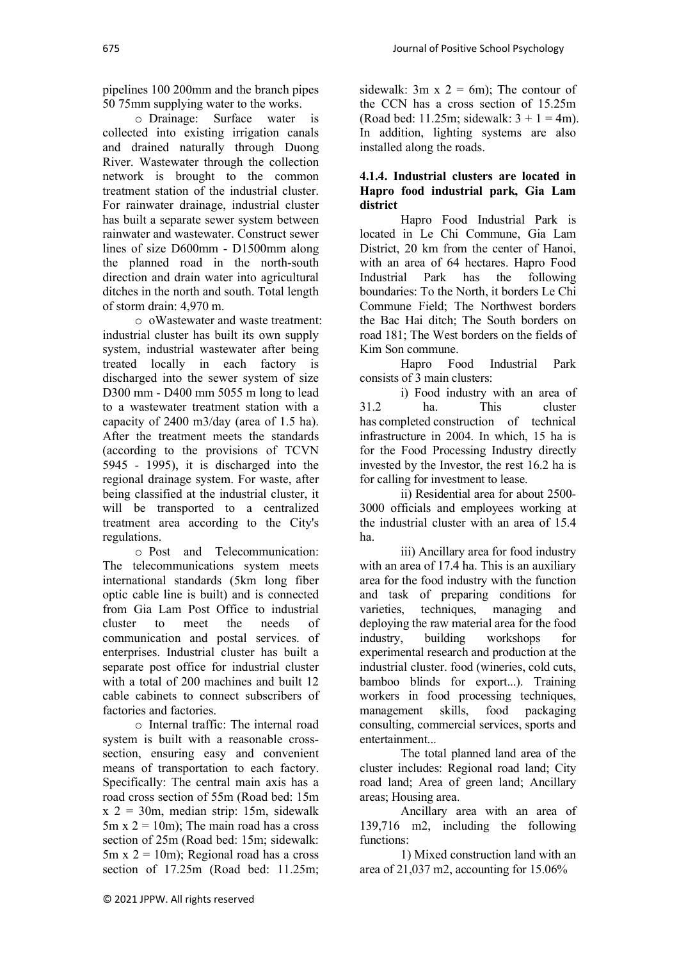pipelines 100 200mm and the branch pipes 50 75mm supplying water to the works.

o Drainage: Surface water is collected into existing irrigation canals and drained naturally through Duong River. Wastewater through the collection network is brought to the common treatment station of the industrial cluster. For rainwater drainage, industrial cluster has built a separate sewer system between rainwater and wastewater. Construct sewer lines of size D600mm - D1500mm along the planned road in the north-south direction and drain water into agricultural ditches in the north and south. Total length of storm drain: 4,970 m.

o oWastewater and waste treatment: industrial cluster has built its own supply system, industrial wastewater after being treated locally in each factory is discharged into the sewer system of size D300 mm - D400 mm 5055 m long to lead to a wastewater treatment station with a capacity of 2400 m3/day (area of 1.5 ha). After the treatment meets the standards (according to the provisions of TCVN 5945 - 1995), it is discharged into the regional drainage system. For waste, after being classified at the industrial cluster, it will be transported to a centralized treatment area according to the City's regulations.

o Post and Telecommunication: The telecommunications system meets international standards (5km long fiber optic cable line is built) and is connected from Gia Lam Post Office to industrial cluster to meet the needs of communication and postal services. of enterprises. Industrial cluster has built a separate post office for industrial cluster with a total of 200 machines and built 12 cable cabinets to connect subscribers of factories and factories.

o Internal traffic: The internal road system is built with a reasonable crosssection, ensuring easy and convenient means of transportation to each factory. Specifically: The central main axis has a road cross section of 55m (Road bed: 15m  $x$  2 = 30m, median strip: 15m, sidewalk  $5m \times 2 = 10m$ ; The main road has a cross section of 25m (Road bed: 15m; sidewalk:  $5m \times 2 = 10m$ ; Regional road has a cross section of 17.25m (Road bed: 11.25m; sidewalk:  $3m \times 2 = 6m$ ; The contour of the CCN has a cross section of 15.25m (Road bed: 11.25m; sidewalk:  $3 + 1 = 4m$ ). In addition, lighting systems are also installed along the roads.

### **4.1.4. Industrial clusters are located in Hapro food industrial park, Gia Lam district**

Hapro Food Industrial Park is located in Le Chi Commune, Gia Lam District, 20 km from the center of Hanoi, with an area of 64 hectares. Hapro Food Industrial Park has the following boundaries: To the North, it borders Le Chi Commune Field; The Northwest borders the Bac Hai ditch; The South borders on road 181; The West borders on the fields of Kim Son commune.

Hapro Food Industrial Park consists of 3 main clusters:

i) Food industry with an area of 31.2 ha. This cluster has completed construction of technical infrastructure in 2004. In which, 15 ha is for the Food Processing Industry directly invested by the Investor, the rest 16.2 ha is for calling for investment to lease.

ii) Residential area for about 2500- 3000 officials and employees working at the industrial cluster with an area of 15.4 ha.

iii) Ancillary area for food industry with an area of 17.4 ha. This is an auxiliary area for the food industry with the function and task of preparing conditions for varieties, techniques, managing and deploying the raw material area for the food industry, building workshops for experimental research and production at the industrial cluster. food (wineries, cold cuts, bamboo blinds for export...). Training workers in food processing techniques, management skills, food packaging consulting, commercial services, sports and entertainment...

The total planned land area of the cluster includes: Regional road land; City road land; Area of green land; Ancillary areas; Housing area.

Ancillary area with an area of 139,716 m2, including the following functions:

1) Mixed construction land with an area of 21,037 m2, accounting for 15.06%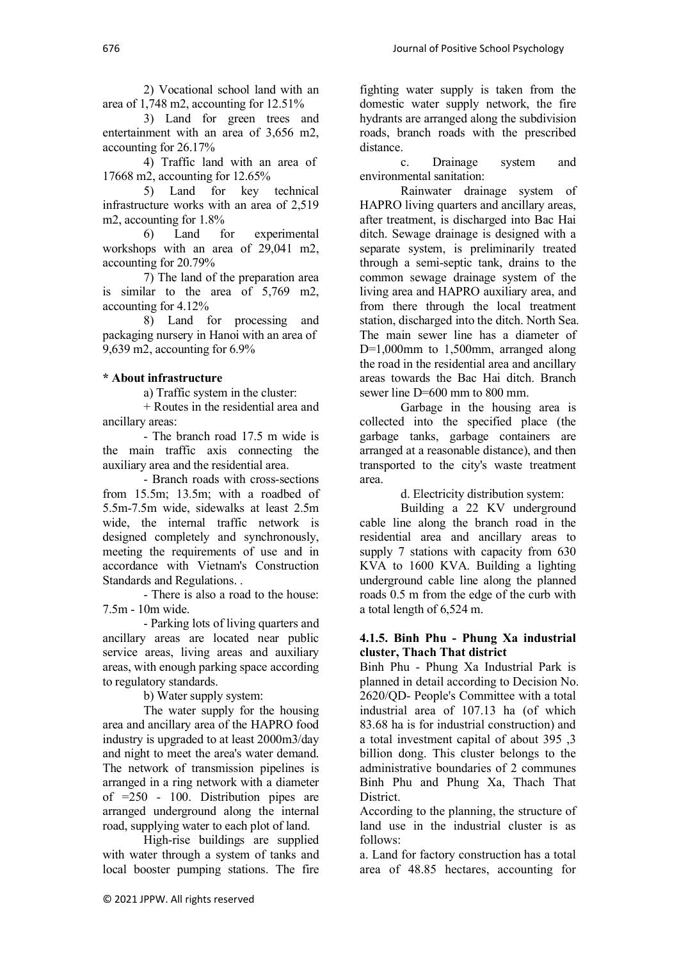2) Vocational school land with an area of 1,748 m2, accounting for 12.51%

3) Land for green trees and entertainment with an area of 3,656 m2, accounting for 26.17%

4) Traffic land with an area of 17668 m2, accounting for 12.65%

5) Land for key technical infrastructure works with an area of 2,519 m2, accounting for 1.8%

6) Land for experimental workshops with an area of 29,041 m2, accounting for 20.79%

7) The land of the preparation area is similar to the area of 5,769 m2, accounting for 4.12%

8) Land for processing and packaging nursery in Hanoi with an area of 9,639 m2, accounting for 6.9%

### **\* About infrastructure**

a) Traffic system in the cluster:

+ Routes in the residential area and ancillary areas:

- The branch road 17.5 m wide is the main traffic axis connecting the auxiliary area and the residential area.

- Branch roads with cross-sections from 15.5m; 13.5m; with a roadbed of 5.5m-7.5m wide, sidewalks at least 2.5m wide, the internal traffic network is designed completely and synchronously, meeting the requirements of use and in accordance with Vietnam's Construction Standards and Regulations. .

- There is also a road to the house: 7.5m - 10m wide.

- Parking lots of living quarters and ancillary areas are located near public service areas, living areas and auxiliary areas, with enough parking space according to regulatory standards.

b) Water supply system:

The water supply for the housing area and ancillary area of the HAPRO food industry is upgraded to at least 2000m3/day and night to meet the area's water demand. The network of transmission pipelines is arranged in a ring network with a diameter of =250 - 100. Distribution pipes are arranged underground along the internal road, supplying water to each plot of land.

High-rise buildings are supplied with water through a system of tanks and local booster pumping stations. The fire fighting water supply is taken from the domestic water supply network, the fire hydrants are arranged along the subdivision roads, branch roads with the prescribed distance.

c. Drainage system and environmental sanitation:

Rainwater drainage system of HAPRO living quarters and ancillary areas, after treatment, is discharged into Bac Hai ditch. Sewage drainage is designed with a separate system, is preliminarily treated through a semi-septic tank, drains to the common sewage drainage system of the living area and HAPRO auxiliary area, and from there through the local treatment station, discharged into the ditch. North Sea. The main sewer line has a diameter of D=1,000mm to 1,500mm, arranged along the road in the residential area and ancillary areas towards the Bac Hai ditch. Branch sewer line D=600 mm to 800 mm.

Garbage in the housing area is collected into the specified place (the garbage tanks, garbage containers are arranged at a reasonable distance), and then transported to the city's waste treatment area.

d. Electricity distribution system:

Building a 22 KV underground cable line along the branch road in the residential area and ancillary areas to supply 7 stations with capacity from 630 KVA to 1600 KVA. Building a lighting underground cable line along the planned roads 0.5 m from the edge of the curb with a total length of 6,524 m.

### **4.1.5. Binh Phu - Phung Xa industrial cluster, Thach That district**

Binh Phu - Phung Xa Industrial Park is planned in detail according to Decision No. 2620/QD- People's Committee with a total industrial area of 107.13 ha (of which 83.68 ha is for industrial construction) and a total investment capital of about 395 ,3 billion dong. This cluster belongs to the administrative boundaries of 2 communes Binh Phu and Phung Xa, Thach That District.

According to the planning, the structure of land use in the industrial cluster is as follows:

a. Land for factory construction has a total area of 48.85 hectares, accounting for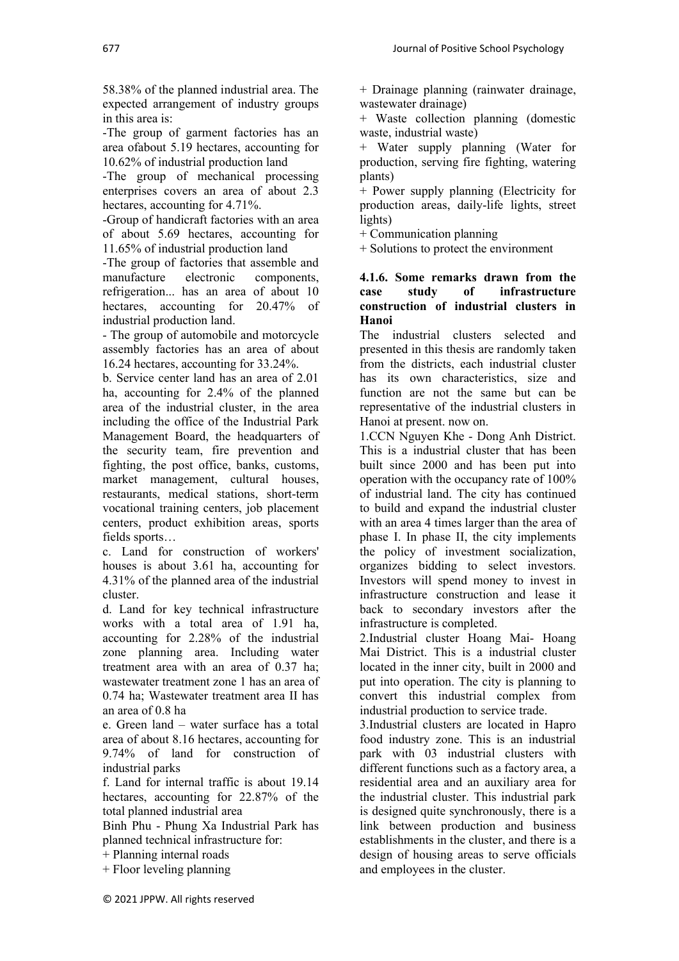58.38% of the planned industrial area. The expected arrangement of industry groups in this area is:

-The group of garment factories has an area ofabout 5.19 hectares, accounting for 10.62% of industrial production land

-The group of mechanical processing enterprises covers an area of about 2.3 hectares, accounting for 4.71%.

-Group of handicraft factories with an area of about 5.69 hectares, accounting for 11.65% of industrial production land

-The group of factories that assemble and manufacture electronic components, refrigeration... has an area of about 10 hectares, accounting for 20.47% of industrial production land.

- The group of automobile and motorcycle assembly factories has an area of about 16.24 hectares, accounting for 33.24%.

b. Service center land has an area of 2.01 ha, accounting for 2.4% of the planned area of the industrial cluster, in the area including the office of the Industrial Park Management Board, the headquarters of the security team, fire prevention and fighting, the post office, banks, customs, market management, cultural houses, restaurants, medical stations, short-term vocational training centers, job placement centers, product exhibition areas, sports fields sports…

c. Land for construction of workers' houses is about 3.61 ha, accounting for 4.31% of the planned area of the industrial cluster.

d. Land for key technical infrastructure works with a total area of 1.91 ha, accounting for 2.28% of the industrial zone planning area. Including water treatment area with an area of 0.37 ha; wastewater treatment zone 1 has an area of 0.74 ha; Wastewater treatment area II has an area of 0.8 ha

e. Green land – water surface has a total area of about 8.16 hectares, accounting for 9.74% of land for construction of industrial parks

f. Land for internal traffic is about 19.14 hectares, accounting for 22.87% of the total planned industrial area

Binh Phu - Phung Xa Industrial Park has planned technical infrastructure for:

+ Planning internal roads

+ Floor leveling planning

+ Drainage planning (rainwater drainage, wastewater drainage)

+ Waste collection planning (domestic waste, industrial waste)

+ Water supply planning (Water for production, serving fire fighting, watering plants)

+ Power supply planning (Electricity for production areas, daily-life lights, street lights)

+ Communication planning

+ Solutions to protect the environment

### **4.1.6. Some remarks drawn from the case study of infrastructure construction of industrial clusters in Hanoi**

The industrial clusters selected and presented in this thesis are randomly taken from the districts, each industrial cluster has its own characteristics, size and function are not the same but can be representative of the industrial clusters in Hanoi at present. now on.

1.CCN Nguyen Khe - Dong Anh District. This is a industrial cluster that has been built since 2000 and has been put into operation with the occupancy rate of 100% of industrial land. The city has continued to build and expand the industrial cluster with an area 4 times larger than the area of phase I. In phase II, the city implements the policy of investment socialization, organizes bidding to select investors. Investors will spend money to invest in infrastructure construction and lease it back to secondary investors after the infrastructure is completed.

2.Industrial cluster Hoang Mai- Hoang Mai District. This is a industrial cluster located in the inner city, built in 2000 and put into operation. The city is planning to convert this industrial complex from industrial production to service trade.

3.Industrial clusters are located in Hapro food industry zone. This is an industrial park with 03 industrial clusters with different functions such as a factory area, a residential area and an auxiliary area for the industrial cluster. This industrial park is designed quite synchronously, there is a link between production and business establishments in the cluster, and there is a design of housing areas to serve officials and employees in the cluster.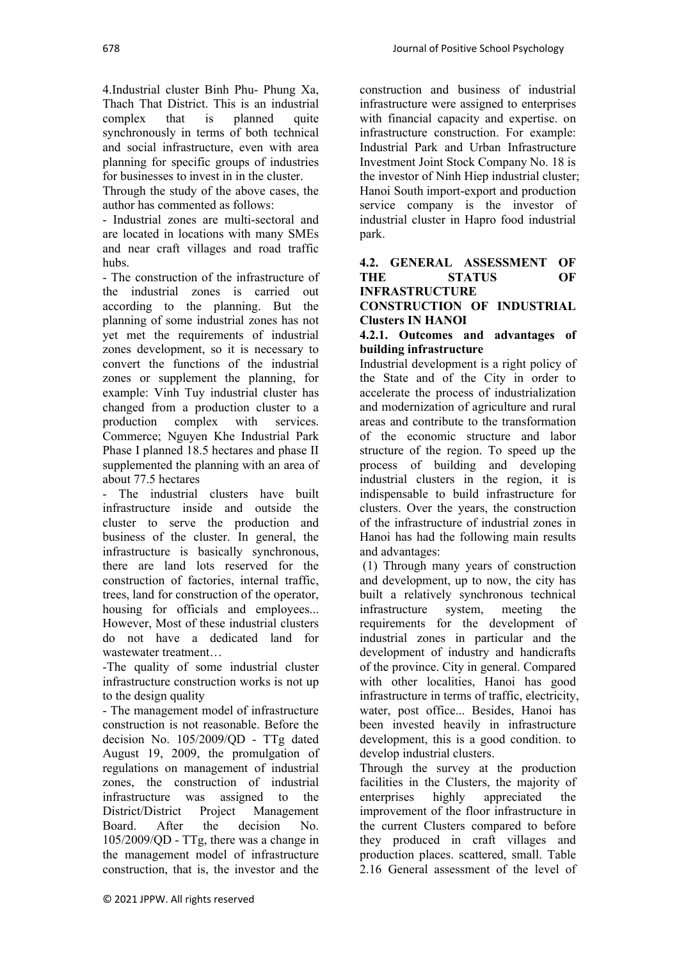4.Industrial cluster Binh Phu- Phung Xa, Thach That District. This is an industrial complex that is planned quite synchronously in terms of both technical and social infrastructure, even with area planning for specific groups of industries for businesses to invest in in the cluster.

Through the study of the above cases, the author has commented as follows:

- Industrial zones are multi-sectoral and are located in locations with many SMEs and near craft villages and road traffic hubs.

- The construction of the infrastructure of the industrial zones is carried out according to the planning. But the planning of some industrial zones has not yet met the requirements of industrial zones development, so it is necessary to convert the functions of the industrial zones or supplement the planning, for example: Vinh Tuy industrial cluster has changed from a production cluster to a production complex with services. Commerce; Nguyen Khe Industrial Park Phase I planned 18.5 hectares and phase II supplemented the planning with an area of about 77.5 hectares

- The industrial clusters have built infrastructure inside and outside the cluster to serve the production and business of the cluster. In general, the infrastructure is basically synchronous, there are land lots reserved for the construction of factories, internal traffic, trees, land for construction of the operator, housing for officials and employees... However, Most of these industrial clusters do not have a dedicated land for wastewater treatment…

-The quality of some industrial cluster infrastructure construction works is not up to the design quality

- The management model of infrastructure construction is not reasonable. Before the decision No. 105/2009/QD - TTg dated August 19, 2009, the promulgation of regulations on management of industrial zones, the construction of industrial infrastructure was assigned to the District/District Project Management Board. After the decision No. 105/2009/QD - TTg, there was a change in the management model of infrastructure construction, that is, the investor and the

construction and business of industrial infrastructure were assigned to enterprises with financial capacity and expertise. on infrastructure construction. For example: Industrial Park and Urban Infrastructure Investment Joint Stock Company No. 18 is the investor of Ninh Hiep industrial cluster; Hanoi South import-export and production service company is the investor of industrial cluster in Hapro food industrial park.

# **4.2. GENERAL ASSESSMENT OF THE STATUS OF**

**INFRASTRUCTURE CONSTRUCTION OF INDUSTRIAL Clusters IN HANOI**

### **4.2.1. Outcomes and advantages of building infrastructure**

Industrial development is a right policy of the State and of the City in order to accelerate the process of industrialization and modernization of agriculture and rural areas and contribute to the transformation of the economic structure and labor structure of the region. To speed up the process of building and developing industrial clusters in the region, it is indispensable to build infrastructure for clusters. Over the years, the construction of the infrastructure of industrial zones in Hanoi has had the following main results and advantages:

(1) Through many years of construction and development, up to now, the city has built a relatively synchronous technical infrastructure system, meeting the requirements for the development of industrial zones in particular and the development of industry and handicrafts of the province. City in general. Compared with other localities, Hanoi has good infrastructure in terms of traffic, electricity, water, post office... Besides, Hanoi has been invested heavily in infrastructure development, this is a good condition. to develop industrial clusters.

Through the survey at the production facilities in the Clusters, the majority of enterprises highly appreciated the improvement of the floor infrastructure in the current Clusters compared to before they produced in craft villages and production places. scattered, small. Table 2.16 General assessment of the level of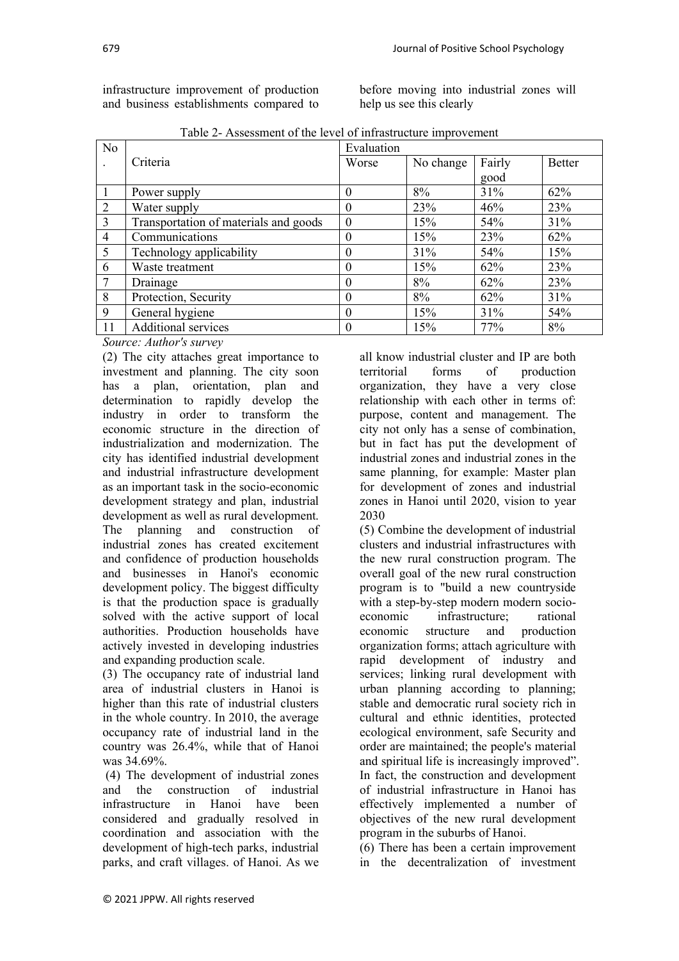infrastructure improvement of production and business establishments compared to

before moving into industrial zones will help us see this clearly

| $140002$ These settion of the term of influent acture improvement |                                       |            |           |        |               |  |  |  |
|-------------------------------------------------------------------|---------------------------------------|------------|-----------|--------|---------------|--|--|--|
| N <sub>o</sub>                                                    |                                       | Evaluation |           |        |               |  |  |  |
| $\cdot$                                                           | Criteria                              | Worse      | No change | Fairly | <b>Better</b> |  |  |  |
|                                                                   |                                       |            |           | good   |               |  |  |  |
|                                                                   | Power supply                          | 0          | 8%        | 31%    | 62%           |  |  |  |
| $\overline{2}$                                                    | Water supply                          | 0          | 23%       | 46%    | 23%           |  |  |  |
| 3                                                                 | Transportation of materials and goods | $\theta$   | 15%       | 54%    | 31%           |  |  |  |
| $\overline{4}$                                                    | Communications                        | 0          | 15%       | 23%    | 62%           |  |  |  |
| 5                                                                 | Technology applicability              | $\theta$   | 31%       | 54%    | 15%           |  |  |  |
| 6                                                                 | Waste treatment                       |            | 15%       | 62%    | 23%           |  |  |  |
|                                                                   | Drainage                              | 0          | 8%        | 62%    | 23%           |  |  |  |
| 8                                                                 | Protection, Security                  |            | 8%        | 62%    | 31%           |  |  |  |
| 9                                                                 | General hygiene                       | 0          | 15%       | 31%    | 54%           |  |  |  |
| 11                                                                | Additional services                   |            | 15%       | 77%    | 8%            |  |  |  |

Table 2- Assessment of the level of infrastructure improvement

### *Source: Author's survey*

(2) The city attaches great importance to investment and planning. The city soon has a plan, orientation, plan and determination to rapidly develop the industry in order to transform the economic structure in the direction of industrialization and modernization. The city has identified industrial development and industrial infrastructure development as an important task in the socio-economic development strategy and plan, industrial development as well as rural development. The planning and construction of industrial zones has created excitement and confidence of production households and businesses in Hanoi's economic development policy. The biggest difficulty is that the production space is gradually solved with the active support of local authorities. Production households have actively invested in developing industries and expanding production scale.

(3) The occupancy rate of industrial land area of industrial clusters in Hanoi is higher than this rate of industrial clusters in the whole country. In 2010, the average occupancy rate of industrial land in the country was 26.4%, while that of Hanoi was 34.69%.

(4) The development of industrial zones and the construction of industrial infrastructure in Hanoi have been considered and gradually resolved in coordination and association with the development of high-tech parks, industrial parks, and craft villages. of Hanoi. As we

all know industrial cluster and IP are both territorial forms of production organization, they have a very close relationship with each other in terms of: purpose, content and management. The city not only has a sense of combination, but in fact has put the development of industrial zones and industrial zones in the same planning, for example: Master plan for development of zones and industrial zones in Hanoi until 2020, vision to year 2030

(5) Combine the development of industrial clusters and industrial infrastructures with the new rural construction program. The overall goal of the new rural construction program is to "build a new countryside with a step-by-step modern modern socioeconomic infrastructure; rational economic structure and production organization forms; attach agriculture with rapid development of industry and services; linking rural development with urban planning according to planning; stable and democratic rural society rich in cultural and ethnic identities, protected ecological environment, safe Security and order are maintained; the people's material and spiritual life is increasingly improved". In fact, the construction and development of industrial infrastructure in Hanoi has effectively implemented a number of objectives of the new rural development program in the suburbs of Hanoi.

(6) There has been a certain improvement in the decentralization of investment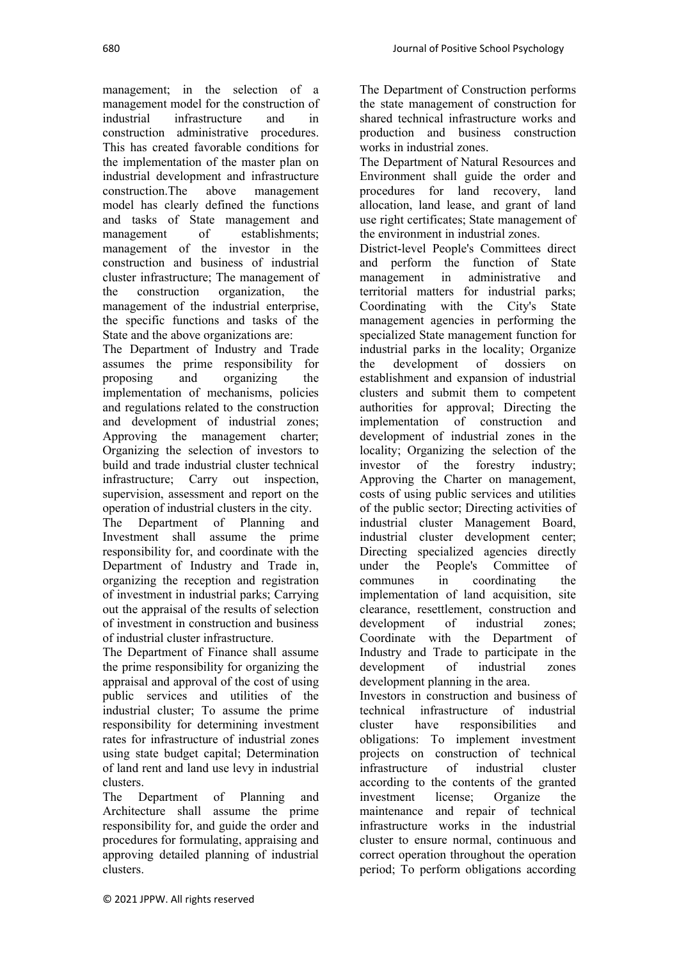management; in the selection of a management model for the construction of<br>industrial infrastructure and in infrastructure and in construction administrative procedures. This has created favorable conditions for the implementation of the master plan on industrial development and infrastructure construction.The above management model has clearly defined the functions and tasks of State management and management of establishments; management of the investor in the construction and business of industrial cluster infrastructure; The management of the construction organization, the management of the industrial enterprise, the specific functions and tasks of the State and the above organizations are:

The Department of Industry and Trade assumes the prime responsibility for proposing and organizing the implementation of mechanisms, policies and regulations related to the construction and development of industrial zones; Approving the management charter; Organizing the selection of investors to build and trade industrial cluster technical infrastructure; Carry out inspection, supervision, assessment and report on the operation of industrial clusters in the city.

The Department of Planning and Investment shall assume the prime responsibility for, and coordinate with the Department of Industry and Trade in, organizing the reception and registration of investment in industrial parks; Carrying out the appraisal of the results of selection of investment in construction and business of industrial cluster infrastructure.

The Department of Finance shall assume the prime responsibility for organizing the appraisal and approval of the cost of using public services and utilities of the industrial cluster; To assume the prime responsibility for determining investment rates for infrastructure of industrial zones using state budget capital; Determination of land rent and land use levy in industrial clusters.

The Department of Planning and Architecture shall assume the prime responsibility for, and guide the order and procedures for formulating, appraising and approving detailed planning of industrial clusters.

The Department of Construction performs the state management of construction for shared technical infrastructure works and production and business construction works in industrial zones.

The Department of Natural Resources and Environment shall guide the order and procedures for land recovery, land allocation, land lease, and grant of land use right certificates; State management of the environment in industrial zones.

District-level People's Committees direct and perform the function of State management in administrative and territorial matters for industrial parks; Coordinating with the City's State management agencies in performing the specialized State management function for industrial parks in the locality; Organize the development of dossiers on establishment and expansion of industrial clusters and submit them to competent authorities for approval; Directing the implementation of construction and development of industrial zones in the locality; Organizing the selection of the investor of the forestry industry; Approving the Charter on management, costs of using public services and utilities of the public sector; Directing activities of industrial cluster Management Board, industrial cluster development center; Directing specialized agencies directly under the People's Committee of communes in coordinating the implementation of land acquisition, site clearance, resettlement, construction and development of industrial zones; Coordinate with the Department of Industry and Trade to participate in the development of industrial zones development planning in the area.

Investors in construction and business of technical infrastructure of industrial cluster have responsibilities and obligations: To implement investment projects on construction of technical<br>infrastructure of industrial cluster infrastructure of industrial cluster according to the contents of the granted investment license; Organize the maintenance and repair of technical infrastructure works in the industrial cluster to ensure normal, continuous and correct operation throughout the operation period; To perform obligations according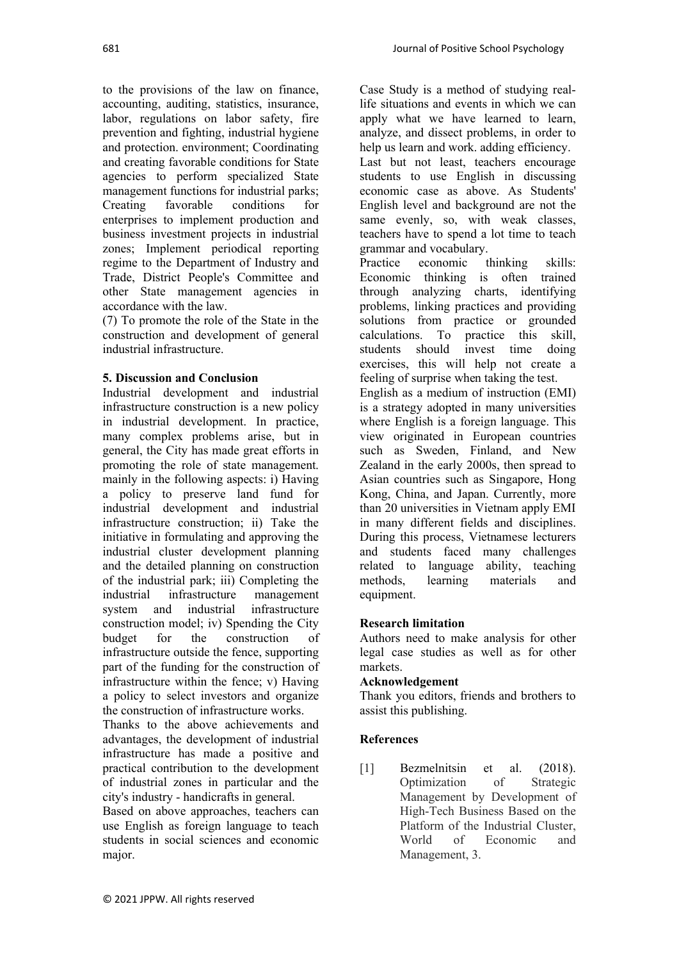to the provisions of the law on finance, accounting, auditing, statistics, insurance, labor, regulations on labor safety, fire prevention and fighting, industrial hygiene and protection. environment; Coordinating and creating favorable conditions for State agencies to perform specialized State management functions for industrial parks; Creating favorable conditions for enterprises to implement production and business investment projects in industrial zones; Implement periodical reporting regime to the Department of Industry and Trade, District People's Committee and other State management agencies in accordance with the law.

(7) To promote the role of the State in the construction and development of general industrial infrastructure.

### **5. Discussion and Conclusion**

Industrial development and industrial infrastructure construction is a new policy in industrial development. In practice, many complex problems arise, but in general, the City has made great efforts in promoting the role of state management. mainly in the following aspects: i) Having a policy to preserve land fund for industrial development and industrial infrastructure construction; ii) Take the initiative in formulating and approving the industrial cluster development planning and the detailed planning on construction of the industrial park; iii) Completing the industrial infrastructure management system and industrial infrastructure construction model; iv) Spending the City budget for the construction of infrastructure outside the fence, supporting part of the funding for the construction of infrastructure within the fence; v) Having a policy to select investors and organize the construction of infrastructure works.

Thanks to the above achievements and advantages, the development of industrial infrastructure has made a positive and practical contribution to the development of industrial zones in particular and the city's industry - handicrafts in general.

Based on above approaches, teachers can use English as foreign language to teach students in social sciences and economic major.

Case Study is a method of studying reallife situations and events in which we can apply what we have learned to learn, analyze, and dissect problems, in order to help us learn and work. adding efficiency. Last but not least, teachers encourage students to use English in discussing economic case as above. As Students' English level and background are not the same evenly, so, with weak classes, teachers have to spend a lot time to teach grammar and vocabulary.

Practice economic thinking skills: Economic thinking is often trained through analyzing charts, identifying problems, linking practices and providing solutions from practice or grounded<br>calculations. To practice this skill. To practice this skill, students should invest time doing exercises, this will help not create a feeling of surprise when taking the test. English as a medium of instruction (EMI) is a strategy adopted in many universities where English is a foreign language. This view originated in European countries such as Sweden, Finland, and New Zealand in the early 2000s, then spread to Asian countries such as Singapore, Hong Kong, China, and Japan. Currently, more than 20 universities in Vietnam apply EMI in many different fields and disciplines. During this process, Vietnamese lecturers and students faced many challenges related to language ability, teaching methods, learning materials and

### **Research limitation**

Authors need to make analysis for other legal case studies as well as for other markets.

### **Acknowledgement**

Thank you editors, friends and brothers to assist this publishing.

### **References**

equipment.

[1] Bezmelnitsin et al. (2018). Optimization of Strategic Management by Development of High-Tech Business Based on the Platform of the Industrial Cluster, World of Economic and Management, 3.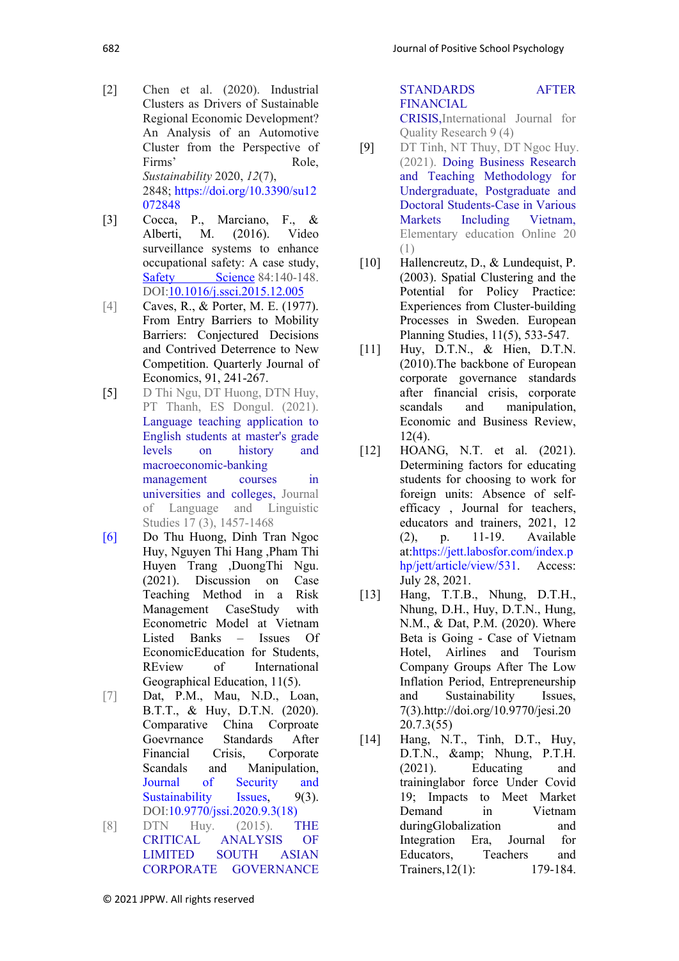- [2] Chen et al. (2020). Industrial Clusters as Drivers of Sustainable Regional Economic Development? An Analysis of an Automotive Cluster from the Perspective of Firms' Role, *Sustainability* 2020, *12*(7), 2848; [https://doi.org/10.3390/su12](https://doi.org/10.3390/su12072848) [072848](https://doi.org/10.3390/su12072848)
- [3] Cocca, P., Marciano, F., & Alberti, M. (2016). Video surveillance systems to enhance occupational safety: A case study, [Safety Science](https://www.researchgate.net/journal/Safety-Science-0925-7535) 84:140-148. DOI[:10.1016/j.ssci.2015.12.005](http://dx.doi.org/10.1016/j.ssci.2015.12.005)
- [4] Caves, R., & Porter, M. E. (1977). From Entry Barriers to Mobility Barriers: Conjectured Decisions and Contrived Deterrence to New Competition. Quarterly Journal of Economics, 91, 241-267.
- [5] D Thi Ngu, DT Huong, DTN Huy, PT Thanh, ES Dongul. (2021). [Language teaching application to](https://scholar.google.com.vn/citations?view_op=view_citation&hl=vi&user=jlPeV7cAAAAJ&cstart=20&pagesize=80&citation_for_view=jlPeV7cAAAAJ:uDGL6kOW6j0C)  [English students at master's grade](https://scholar.google.com.vn/citations?view_op=view_citation&hl=vi&user=jlPeV7cAAAAJ&cstart=20&pagesize=80&citation_for_view=jlPeV7cAAAAJ:uDGL6kOW6j0C)  [levels on history and](https://scholar.google.com.vn/citations?view_op=view_citation&hl=vi&user=jlPeV7cAAAAJ&cstart=20&pagesize=80&citation_for_view=jlPeV7cAAAAJ:uDGL6kOW6j0C)  [macroeconomic-banking](https://scholar.google.com.vn/citations?view_op=view_citation&hl=vi&user=jlPeV7cAAAAJ&cstart=20&pagesize=80&citation_for_view=jlPeV7cAAAAJ:uDGL6kOW6j0C)  [management courses in](https://scholar.google.com.vn/citations?view_op=view_citation&hl=vi&user=jlPeV7cAAAAJ&cstart=20&pagesize=80&citation_for_view=jlPeV7cAAAAJ:uDGL6kOW6j0C)  [universities and colleges,](https://scholar.google.com.vn/citations?view_op=view_citation&hl=vi&user=jlPeV7cAAAAJ&cstart=20&pagesize=80&citation_for_view=jlPeV7cAAAAJ:uDGL6kOW6j0C) Journal of Language and Linguistic Studies 17 (3), 1457-1468
- [6] Do Thu Huong, Dinh Tran Ngoc Huy, Nguyen Thi Hang ,Pham Thi Huyen Trang ,DuongThi Ngu. (2021). Discussion on Case Teaching Method in a Risk Management CaseStudy with Econometric Model at Vietnam Listed Banks – Issues Of EconomicEducation for Students, REview of International Geographical Education, 11(5).
- [7] Dat, P.M., Mau, N.D., Loan, B.T.T., & Huy, D.T.N. (2020). Comparative China Corproate Goevrnance Standards After Financial Crisis, Corporate Scandals and Manipulation, [Journal of Security and](https://www.researchgate.net/journal/Journal-of-Security-and-Sustainability-Issues-2029-7025)  [Sustainability Issues,](https://www.researchgate.net/journal/Journal-of-Security-and-Sustainability-Issues-2029-7025) 9(3). DOI[:10.9770/jssi.2020.9.3\(18\)](http://dx.doi.org/10.9770/jssi.2020.9.3(18))
- [8] DTN Huy. (2015). [THE](https://scholar.google.com.vn/citations?view_op=view_citation&hl=vi&user=jlPeV7cAAAAJ&alert_preview_top_rm=2&citation_for_view=jlPeV7cAAAAJ:QIV2ME_5wuYC)  [CRITICAL ANALYSIS OF](https://scholar.google.com.vn/citations?view_op=view_citation&hl=vi&user=jlPeV7cAAAAJ&alert_preview_top_rm=2&citation_for_view=jlPeV7cAAAAJ:QIV2ME_5wuYC)  [LIMITED SOUTH ASIAN](https://scholar.google.com.vn/citations?view_op=view_citation&hl=vi&user=jlPeV7cAAAAJ&alert_preview_top_rm=2&citation_for_view=jlPeV7cAAAAJ:QIV2ME_5wuYC)  [CORPORATE GOVERNANCE](https://scholar.google.com.vn/citations?view_op=view_citation&hl=vi&user=jlPeV7cAAAAJ&alert_preview_top_rm=2&citation_for_view=jlPeV7cAAAAJ:QIV2ME_5wuYC)

[STANDARDS AFTER](https://scholar.google.com.vn/citations?view_op=view_citation&hl=vi&user=jlPeV7cAAAAJ&alert_preview_top_rm=2&citation_for_view=jlPeV7cAAAAJ:QIV2ME_5wuYC)  [FINANCIAL](https://scholar.google.com.vn/citations?view_op=view_citation&hl=vi&user=jlPeV7cAAAAJ&alert_preview_top_rm=2&citation_for_view=jlPeV7cAAAAJ:QIV2ME_5wuYC)  [CRISIS,I](https://scholar.google.com.vn/citations?view_op=view_citation&hl=vi&user=jlPeV7cAAAAJ&alert_preview_top_rm=2&citation_for_view=jlPeV7cAAAAJ:QIV2ME_5wuYC)nternational Journal for

Quality Research 9 (4) [9] DT Tinh, NT Thuy, DT Ngoc Huy.

- (2021). [Doing Business Research](https://scholar.google.com.vn/citations?view_op=view_citation&hl=vi&user=jlPeV7cAAAAJ&alert_preview_top_rm=2&citation_for_view=jlPeV7cAAAAJ:0KyAp5RtaNEC)  [and Teaching Methodology for](https://scholar.google.com.vn/citations?view_op=view_citation&hl=vi&user=jlPeV7cAAAAJ&alert_preview_top_rm=2&citation_for_view=jlPeV7cAAAAJ:0KyAp5RtaNEC)  [Undergraduate, Postgraduate and](https://scholar.google.com.vn/citations?view_op=view_citation&hl=vi&user=jlPeV7cAAAAJ&alert_preview_top_rm=2&citation_for_view=jlPeV7cAAAAJ:0KyAp5RtaNEC)  [Doctoral Students-Case in Various](https://scholar.google.com.vn/citations?view_op=view_citation&hl=vi&user=jlPeV7cAAAAJ&alert_preview_top_rm=2&citation_for_view=jlPeV7cAAAAJ:0KyAp5RtaNEC)  Including Elementary education Online 20 (1)
- [10] Hallencreutz, D., & Lundequist, P. (2003). Spatial Clustering and the Potential for Policy Practice: Experiences from Cluster-building Processes in Sweden. European Planning Studies, 11(5), 533-547.
- [11] Huy, D.T.N., & Hien, D.T.N. (2010).The backbone of European corporate governance standards after financial crisis, corporate scandals and manipulation, Economic and Business Review, 12(4).
- [12] HOANG, N.T. et al. (2021). Determining factors for educating students for choosing to work for foreign units: Absence of selfefficacy , Journal for teachers, educators and trainers, 2021, 12 (2), p. 11-19. Available at[:https://jett.labosfor.com/index.p](https://jett.labosfor.com/index.php/jett/article/view/531) [hp/jett/article/view/531.](https://jett.labosfor.com/index.php/jett/article/view/531) Access: July 28, 2021.
- [13] Hang, T.T.B., Nhung, D.T.H., Nhung, D.H., Huy, D.T.N., Hung, N.M., & Dat, P.M. (2020). Where Beta is Going - Case of Vietnam Hotel, Airlines and Tourism Company Groups After The Low Inflation Period, Entrepreneurship and Sustainability Issues, 7(3).http://doi.org/10.9770/jesi.20 20.7.3(55)
- [14] Hang, N.T., Tinh, D.T., Huy, D.T.N., & amp; Nhung, P.T.H. (2021). Educating and traininglabor force Under Covid 19; Impacts to Meet Market Demand in Vietnam duringGlobalization and Integration Era, Journal for Educators, Teachers and Trainers, 12(1): 179-184.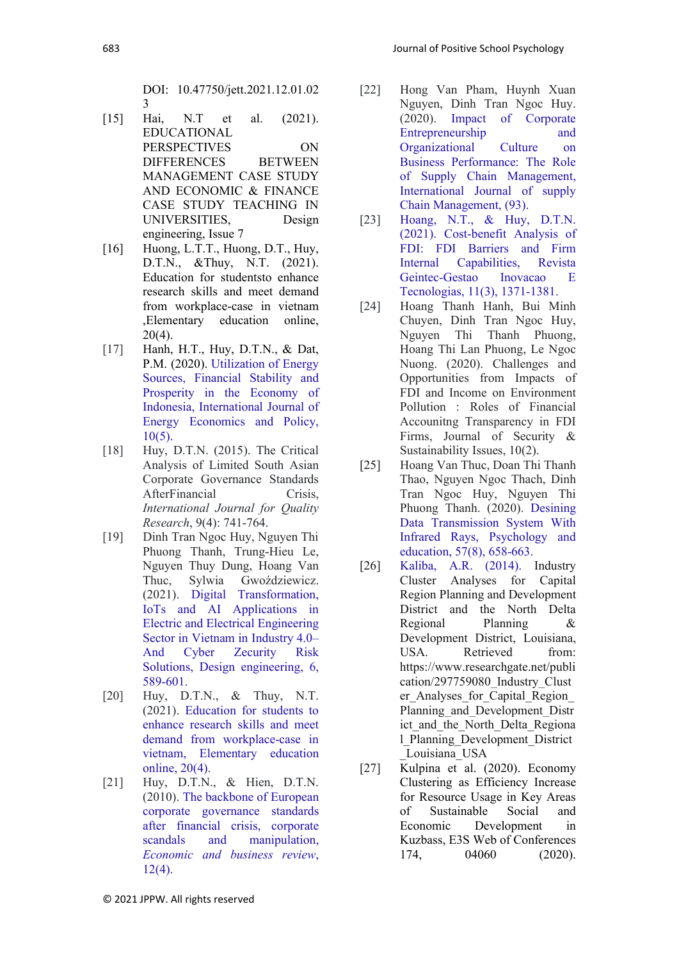DOI: 10.47750/jett.2021.12.01.02 3

- [15] Hai, N.T et al. (2021). EDUCATIONAL PERSPECTIVES ON DIFFERENCES BETWEEN MANAGEMENT CASE STUDY AND ECONOMIC & FINANCE CASE STUDY TEACHING IN UNIVERSITIES, Design engineering, Issue 7
- [16] Huong, L.T.T., Huong, D.T., Huy, D.T.N., &Thuy, N.T. (2021). Education for studentsto enhance research skills and meet demand from workplace-case in vietnam ,Elementary education online, 20(4).
- [17] Hanh, H.T., Huy, D.T.N., & Dat, P.M. (2020). [Utilization of Energy](https://qlkh.hvtc.edu.vn/Portals/0/files/63738971801921861110242-24817-1-PB.pdf)  [Sources, Financial Stability and](https://qlkh.hvtc.edu.vn/Portals/0/files/63738971801921861110242-24817-1-PB.pdf)  [Prosperity in the Economy of](https://qlkh.hvtc.edu.vn/Portals/0/files/63738971801921861110242-24817-1-PB.pdf)  [Indonesia,](https://qlkh.hvtc.edu.vn/Portals/0/files/63738971801921861110242-24817-1-PB.pdf) International Journal of Energy Economics and Policy,  $10(5)$ .
- [18] Huy, D.T.N. (2015). The Critical Analysis of Limited South Asian Corporate Governance Standards AfterFinancial Crisis, *International Journal for Quality Research*, 9(4): 741-764.
- [19] Dinh Tran Ngoc Huy, Nguyen Thi Phuong Thanh, Trung-Hieu Le, Nguyen Thuy Dung, Hoang Van Thuc, Sylwia Gwoździewicz. (2021). [Digital Transformation,](http://www.thedesignengineering.com/index.php/DE/article/view/2015)  [IoTs and AI Applications in](http://www.thedesignengineering.com/index.php/DE/article/view/2015)  [Electric and Electrical Engineering](http://www.thedesignengineering.com/index.php/DE/article/view/2015)  [Sector in Vietnam in Industry 4.0–](http://www.thedesignengineering.com/index.php/DE/article/view/2015) [And Cyber Zecurity Risk](http://www.thedesignengineering.com/index.php/DE/article/view/2015)  [Solutions,](http://www.thedesignengineering.com/index.php/DE/article/view/2015) Design engineering, 6, 589-601.
- [20] Huy, D.T.N., & Thuy, N.T. (2021). [Education for students to](http://search.ebscohost.com/login.aspx?direct=true&profile=ehost&scope=site&authtype=crawler&jrnl=13053515&AN=150156419&h=iuyfSigoUHjNyUmf7Z+RSYfMRy0GBo6ZAoe+Lp1SiBqllUsc5MiDzM/R0VyVnyAZnXhYmdIav9ADgobnxt0XyA==&crl=c) [enhance research skills and meet](http://search.ebscohost.com/login.aspx?direct=true&profile=ehost&scope=site&authtype=crawler&jrnl=13053515&AN=150156419&h=iuyfSigoUHjNyUmf7Z+RSYfMRy0GBo6ZAoe+Lp1SiBqllUsc5MiDzM/R0VyVnyAZnXhYmdIav9ADgobnxt0XyA==&crl=c)  [demand from workplace-case in](http://search.ebscohost.com/login.aspx?direct=true&profile=ehost&scope=site&authtype=crawler&jrnl=13053515&AN=150156419&h=iuyfSigoUHjNyUmf7Z+RSYfMRy0GBo6ZAoe+Lp1SiBqllUsc5MiDzM/R0VyVnyAZnXhYmdIav9ADgobnxt0XyA==&crl=c)  [vietnam,](http://search.ebscohost.com/login.aspx?direct=true&profile=ehost&scope=site&authtype=crawler&jrnl=13053515&AN=150156419&h=iuyfSigoUHjNyUmf7Z+RSYfMRy0GBo6ZAoe+Lp1SiBqllUsc5MiDzM/R0VyVnyAZnXhYmdIav9ADgobnxt0XyA==&crl=c) Elementary education online, 20(4).
- [21] Huy, D.T.N., & Hien, D.T.N. (2010). [The backbone of European](http://ojs.ebrjournal.net/ojs/index.php/ebr/article/view/101)  [corporate governance standards](http://ojs.ebrjournal.net/ojs/index.php/ebr/article/view/101)  [after financial crisis, corporate](http://ojs.ebrjournal.net/ojs/index.php/ebr/article/view/101)  [scandals and manipulation,](http://ojs.ebrjournal.net/ojs/index.php/ebr/article/view/101) *Economic and business review*, 12(4).
- [22] Hong Van Pham, Huynh Xuan Nguyen, Dinh Tran Ngoc Huy. (2020). [Impact of Corporate](https://core.ac.uk/download/pdf/328146459.pdf)  [Entrepreneurship and](https://core.ac.uk/download/pdf/328146459.pdf)  [Organizational Culture on](https://core.ac.uk/download/pdf/328146459.pdf)  [Business Performance: The Role](https://core.ac.uk/download/pdf/328146459.pdf)  [of Supply Chain Management,](https://core.ac.uk/download/pdf/328146459.pdf) International Journal of supply Chain Management, (93).
- [23] Hoang, N.T., & Huy, D.T.N. (2021). [Cost-benefit Analysis of](http://revistageintec.net/index.php/revista/article/view/2016)  [FDI: FDI Barriers and Firm](http://revistageintec.net/index.php/revista/article/view/2016)  [Internal Capabilities,](http://revistageintec.net/index.php/revista/article/view/2016) Revista Geintec-Gestao Inovacao E Tecnologias, 11(3), 1371-1381.
- [24] Hoang Thanh Hanh, Bui Minh Chuyen, Dinh Tran Ngoc Huy, Nguyen Thi Thanh Phuong, Hoang Thi Lan Phuong, Le Ngoc Nuong. (2020). Challenges and Opportunities from Impacts of FDI and Income on Environment Pollution : Roles of Financial Accounitng Transparency in FDI Firms, Journal of Security & Sustainability Issues, 10(2).
- [25] Hoang Van Thuc, Doan Thi Thanh Thao, Nguyen Ngoc Thach, Dinh Tran Ngoc Huy, Nguyen Thi Phuong Thanh. (2020). [Desining](http://psychologyandeducation.net/pae/index.php/pae/article/view/999)  [Data Transmission System With](http://psychologyandeducation.net/pae/index.php/pae/article/view/999)  [Infrared Rays,](http://psychologyandeducation.net/pae/index.php/pae/article/view/999) Psychology and education, 57(8), 658-663.
- [26] Kaliba, A.R. (2014). Industry Cluster Analyses for Capital Region Planning and Development District and the North Delta Regional Planning & Development District, Louisiana, USA. Retrieved from: https://www.researchgate.net/publi cation/297759080\_Industry\_Clust er\_Analyses\_for\_Capital\_Region\_ Planning and Development Distr ict and the North Delta Regiona l\_Planning\_Development\_District \_Louisiana\_USA
- [27] Kulpina et al. (2020). Economy Clustering as Efficiency Increase for Resource Usage in Key Areas of Sustainable Social and Economic Development in Kuzbass, E3S Web of Conferences 174, 04060 (2020).